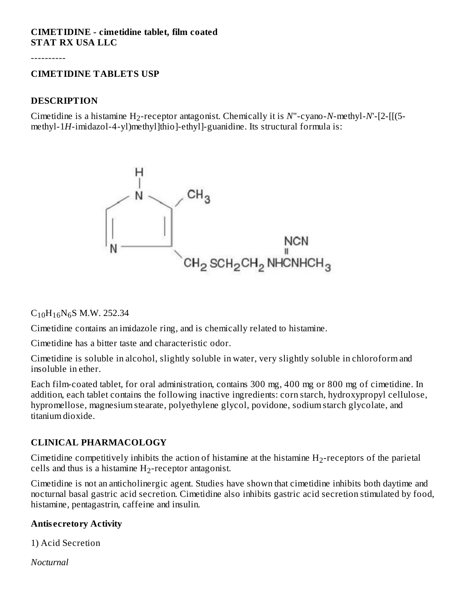#### **CIMETIDINE - cimetidine tablet, film coated STAT RX USA LLC**

----------

#### **CIMETIDINE TABLETS USP**

#### **DESCRIPTION**

Cimetidine is a histamine  $H_2$ -receptor antagonist. Chemically it is  $N''$ -cyano- $N$ -methyl- $N'$ -[2-[[(5methyl-1*H*-imidazol-4-yl)methyl]thio]-ethyl]-guanidine. Its structural formula is:



 $C_{10}H_{16}N_6S$  M.W. 252.34

Cimetidine contains an imidazole ring, and is chemically related to histamine.

Cimetidine has a bitter taste and characteristic odor.

Cimetidine is soluble in alcohol, slightly soluble in water, very slightly soluble in chloroform and insoluble in ether.

Each film-coated tablet, for oral administration, contains 300 mg, 400 mg or 800 mg of cimetidine. In addition, each tablet contains the following inactive ingredients: corn starch, hydroxypropyl cellulose, hypromellose, magnesium stearate, polyethylene glycol, povidone, sodium starch glycolate, and titanium dioxide.

### **CLINICAL PHARMACOLOGY**

Cimetidine competitively inhibits the action of histamine at the histamine  $H_2$ -receptors of the parietal cells and thus is a histamine  $H_2$ -receptor antagonist.

Cimetidine is not an anticholinergic agent. Studies have shown that cimetidine inhibits both daytime and nocturnal basal gastric acid secretion. Cimetidine also inhibits gastric acid secretion stimulated by food, histamine, pentagastrin, caffeine and insulin.

### **Antis ecretory Activity**

1) Acid Secretion

*Nocturnal*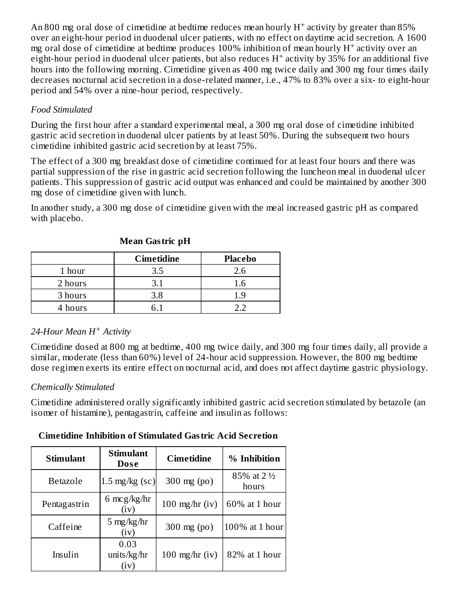An 800 mg oral dose of cimetidine at bedtime reduces mean hourly  $H^+$  activity by greater than 85% over an eight-hour period in duodenal ulcer patients, with no effect on daytime acid secretion. A 1600 mg oral dose of cimetidine at bedtime produces  $100\%$  inhibition of mean hourly H<sup>+</sup> activity over an eight-hour period in duodenal ulcer patients, but also reduces  $H^+$  activity by 35% for an additional five hours into the following morning. Cimetidine given as 400 mg twice daily and 300 mg four times daily decreases nocturnal acid secretion in a dose-related manner, i.e., 47% to 83% over a six- to eight-hour period and 54% over a nine-hour period, respectively.

# *Food Stimulated*

During the first hour after a standard experimental meal, a 300 mg oral dose of cimetidine inhibited gastric acid secretion in duodenal ulcer patients by at least 50%. During the subsequent two hours cimetidine inhibited gastric acid secretion by at least 75%.

The effect of a 300 mg breakfast dose of cimetidine continued for at least four hours and there was partial suppression of the rise in gastric acid secretion following the luncheon meal in duodenal ulcer patients. This suppression of gastric acid output was enhanced and could be maintained by another 300 mg dose of cimetidine given with lunch.

In another study, a 300 mg dose of cimetidine given with the meal increased gastric pH as compared with placebo.

|         | <b>Cimetidine</b> | <b>Placebo</b> |
|---------|-------------------|----------------|
| 1 hour  | 3.5               | 46.            |
| 2 hours | ว 1               | h              |
| 3 hours | 3.8               |                |
| 4 hours |                   |                |

# **Mean Gastric pH**

# *24-Hour Mean H Activity +*

Cimetidine dosed at 800 mg at bedtime, 400 mg twice daily, and 300 mg four times daily, all provide a similar, moderate (less than 60%) level of 24-hour acid suppression. However, the 800 mg bedtime dose regimen exerts its entire effect on nocturnal acid, and does not affect daytime gastric physiology.

# *Chemically Stimulated*

Cimetidine administered orally significantly inhibited gastric acid secretion stimulated by betazole (an isomer of histamine), pentagastrin, caffeine and insulin as follows:

# **Cimetidine Inhibition of Stimulated Gastric Acid Secretion**

| <b>Stimulant</b> | <b>Stimulant</b><br><b>Cimetidine</b><br>Dose |                       | % Inhibition        |
|------------------|-----------------------------------------------|-----------------------|---------------------|
| <b>Betazole</b>  | $1.5 \text{ mg/kg}$ (sc)<br>300 mg (po)       |                       | 85% at 2 ½<br>hours |
| Pentagastrin     | 6 $mcg/kg/hr$<br>(iv)                         | 100 mg/hr (iv)        | 60% at 1 hour       |
| Caffeine         | 5 mg/kg/hr<br>(iv)                            | $300 \text{ mg}$ (po) | 100% at 1 hour      |
| Insulin          | 0.03<br>units/ $kg/hr$<br>(iv)                |                       | 82% at 1 hour       |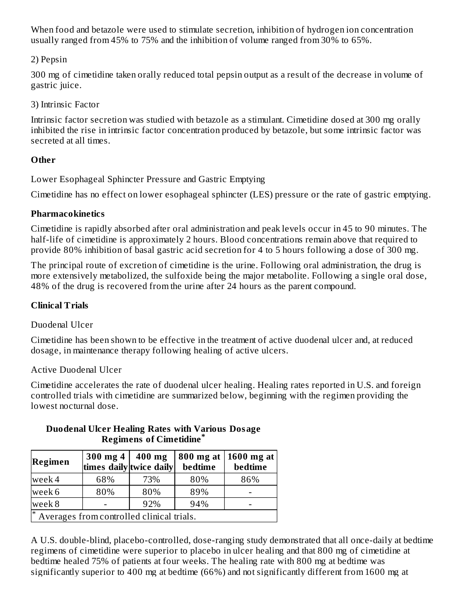When food and betazole were used to stimulate secretion, inhibition of hydrogen ion concentration usually ranged from 45% to 75% and the inhibition of volume ranged from 30% to 65%.

# 2) Pepsin

300 mg of cimetidine taken orally reduced total pepsin output as a result of the decrease in volume of gastric juice.

# 3) Intrinsic Factor

Intrinsic factor secretion was studied with betazole as a stimulant. Cimetidine dosed at 300 mg orally inhibited the rise in intrinsic factor concentration produced by betazole, but some intrinsic factor was secreted at all times.

# **Other**

Lower Esophageal Sphincter Pressure and Gastric Emptying

Cimetidine has no effect on lower esophageal sphincter (LES) pressure or the rate of gastric emptying.

# **Pharmacokinetics**

Cimetidine is rapidly absorbed after oral administration and peak levels occur in 45 to 90 minutes. The half-life of cimetidine is approximately 2 hours. Blood concentrations remain above that required to provide 80% inhibition of basal gastric acid secretion for 4 to 5 hours following a dose of 300 mg.

The principal route of excretion of cimetidine is the urine. Following oral administration, the drug is more extensively metabolized, the sulfoxide being the major metabolite. Following a single oral dose, 48% of the drug is recovered from the urine after 24 hours as the parent compound.

# **Clinical Trials**

Duodenal Ulcer

Cimetidine has been shown to be effective in the treatment of active duodenal ulcer and, at reduced dosage, in maintenance therapy following healing of active ulcers.

Active Duodenal Ulcer

Cimetidine accelerates the rate of duodenal ulcer healing. Healing rates reported in U.S. and foreign controlled trials with cimetidine are summarized below, beginning with the regimen providing the lowest nocturnal dose.

| Regimen                                     | $300$ mg 4   400 mg<br>times daily twice daily |     | 800 mg at<br>bedtime | $1600$ mg at<br>bedtime |  |  |  |
|---------------------------------------------|------------------------------------------------|-----|----------------------|-------------------------|--|--|--|
| week 4                                      | 68%                                            | 73% | 80%                  | 86%                     |  |  |  |
| week 6                                      | 80%                                            | 80% | 89%                  |                         |  |  |  |
| week 8<br>92%<br>94%                        |                                                |     |                      |                         |  |  |  |
| * Averages from controlled clinical trials. |                                                |     |                      |                         |  |  |  |

# **Duodenal Ulcer Healing Rates with Various Dosage Regimens of Cimetidine \***

A U.S. double-blind, placebo-controlled, dose-ranging study demonstrated that all once-daily at bedtime regimens of cimetidine were superior to placebo in ulcer healing and that 800 mg of cimetidine at bedtime healed 75% of patients at four weeks. The healing rate with 800 mg at bedtime was significantly superior to 400 mg at bedtime (66%) and not significantly different from 1600 mg at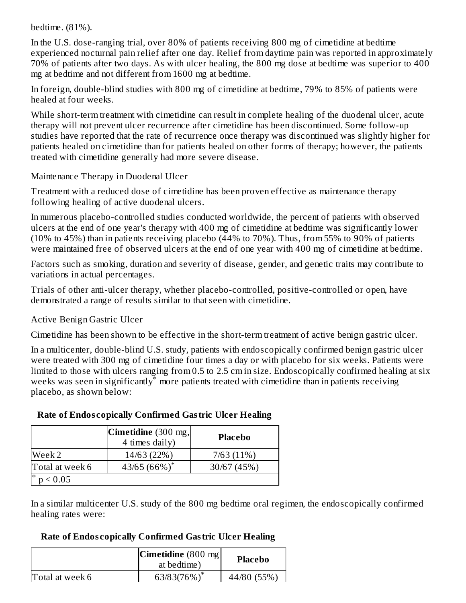bedtime. (81%).

In the U.S. dose-ranging trial, over 80% of patients receiving 800 mg of cimetidine at bedtime experienced nocturnal pain relief after one day. Relief from daytime pain was reported in approximately 70% of patients after two days. As with ulcer healing, the 800 mg dose at bedtime was superior to 400 mg at bedtime and not different from 1600 mg at bedtime.

In foreign, double-blind studies with 800 mg of cimetidine at bedtime, 79% to 85% of patients were healed at four weeks.

While short-term treatment with cimetidine can result in complete healing of the duodenal ulcer, acute therapy will not prevent ulcer recurrence after cimetidine has been discontinued. Some follow-up studies have reported that the rate of recurrence once therapy was discontinued was slightly higher for patients healed on cimetidine than for patients healed on other forms of therapy; however, the patients treated with cimetidine generally had more severe disease.

Maintenance Therapy in Duodenal Ulcer

Treatment with a reduced dose of cimetidine has been proven effective as maintenance therapy following healing of active duodenal ulcers.

In numerous placebo-controlled studies conducted worldwide, the percent of patients with observed ulcers at the end of one year's therapy with 400 mg of cimetidine at bedtime was significantly lower (10% to 45%) than in patients receiving placebo (44% to 70%). Thus, from 55% to 90% of patients were maintained free of observed ulcers at the end of one year with 400 mg of cimetidine at bedtime.

Factors such as smoking, duration and severity of disease, gender, and genetic traits may contribute to variations in actual percentages.

Trials of other anti-ulcer therapy, whether placebo-controlled, positive-controlled or open, have demonstrated a range of results similar to that seen with cimetidine.

Active Benign Gastric Ulcer

Cimetidine has been shown to be effective in the short-term treatment of active benign gastric ulcer.

In a multicenter, double-blind U.S. study, patients with endoscopically confirmed benign gastric ulcer were treated with 300 mg of cimetidine four times a day or with placebo for six weeks. Patients were limited to those with ulcers ranging from 0.5 to 2.5 cm in size. Endoscopically confirmed healing at six weeks was seen in significantly $*$  more patients treated with cimetidine than in patients receiving placebo, as shown below:

### **Rate of Endos copically Confirmed Gastric Ulcer Healing**

| Cimetidine (300 mg,<br>4 times daily) |                 | Placebo    |
|---------------------------------------|-----------------|------------|
| Week 2                                | 14/63 (22%)     | 7/63(11%)  |
| Total at week 6                       | 43/65 $(66%)^*$ | 30/67(45%) |
| ${}_{0.05}$                           |                 |            |

In a similar multicenter U.S. study of the 800 mg bedtime oral regimen, the endoscopically confirmed healing rates were:

### **Rate of Endos copically Confirmed Gastric Ulcer Healing**

|                 | $C$ imetidine (800 mg $\vert$<br>at bedtime) | <b>Placebo</b> |
|-----------------|----------------------------------------------|----------------|
| Total at week 6 | $63/83(76%)^*$                               | 44/80 (55%)    |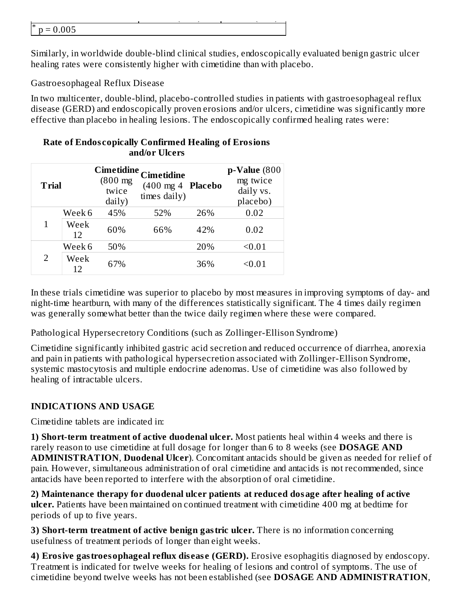$p = 0.005$ 

\*

Similarly, in worldwide double-blind clinical studies, endoscopically evaluated benign gastric ulcer healing rates were consistently higher with cimetidine than with placebo.

#### Gastroesophageal Reflux Disease

In two multicenter, double-blind, placebo-controlled studies in patients with gastroesophageal reflux disease (GERD) and endoscopically proven erosions and/or ulcers, cimetidine was significantly more effective than placebo in healing lesions. The endoscopically confirmed healing rates were:

| <b>Trial</b> |            | <b>Cimetidine</b><br>$(800 \text{ mg})$<br>twice<br>daily) | <b>Cimetidine</b><br>(400 mg 4 Placebo<br>times daily) |     | $p$ -Value (800<br>mg twice<br>daily vs.<br>placebo) |
|--------------|------------|------------------------------------------------------------|--------------------------------------------------------|-----|------------------------------------------------------|
|              | Week 6     | 45%                                                        | 52%                                                    | 26% | 0.02                                                 |
| 1            | Week<br>12 | 60%                                                        | 66%                                                    | 42% | 0.02                                                 |
|              | Week 6     | 50%                                                        |                                                        | 20% | < 0.01                                               |
| 2            | Week<br>12 | 67%                                                        |                                                        | 36% | < 0.01                                               |

#### **Rate of Endos copically Confirmed Healing of Erosions and/or Ulcers**

Total at week 6 63/83(76%) 44/80 (55%) 44/80 (55%) 44/80 (55%) 44/80 (55%) 44/80 (55%) 44/80 (55%) 44/80 (55%)

In these trials cimetidine was superior to placebo by most measures in improving symptoms of day- and night-time heartburn, with many of the differences statistically significant. The 4 times daily regimen was generally somewhat better than the twice daily regimen where these were compared.

Pathological Hypersecretory Conditions (such as Zollinger-Ellison Syndrome)

Cimetidine significantly inhibited gastric acid secretion and reduced occurrence of diarrhea, anorexia and pain in patients with pathological hypersecretion associated with Zollinger-Ellison Syndrome, systemic mastocytosis and multiple endocrine adenomas. Use of cimetidine was also followed by healing of intractable ulcers.

### **INDICATIONS AND USAGE**

Cimetidine tablets are indicated in:

**1) Short-term treatment of active duodenal ulcer.** Most patients heal within 4 weeks and there is rarely reason to use cimetidine at full dosage for longer than 6 to 8 weeks (see **DOSAGE AND ADMINISTRATION**, **Duodenal Ulcer**). Concomitant antacids should be given as needed for relief of pain. However, simultaneous administration of oral cimetidine and antacids is not recommended, since antacids have been reported to interfere with the absorption of oral cimetidine.

**2) Maintenance therapy for duodenal ulcer patients at reduced dosage after healing of active ulcer.** Patients have been maintained on continued treatment with cimetidine 400 mg at bedtime for periods of up to five years.

**3) Short-term treatment of active benign gastric ulcer.** There is no information concerning usefulness of treatment periods of longer than eight weeks.

**4) Erosive gastroesophageal reflux dis eas e (GERD).** Erosive esophagitis diagnosed by endoscopy. Treatment is indicated for twelve weeks for healing of lesions and control of symptoms. The use of cimetidine beyond twelve weeks has not been established (see **DOSAGE AND ADMINISTRATION**,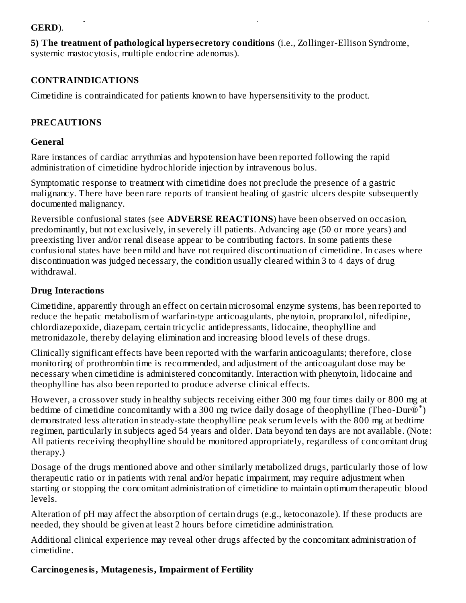#### cimetidine beyond twelve weeks has not been established (see **DOSAGE AND ADMINISTRATION**, **GERD**).

**5) The treatment of pathological hypers ecretory conditions** (i.e., Zollinger-Ellison Syndrome, systemic mastocytosis, multiple endocrine adenomas).

### **CONTRAINDICATIONS**

Cimetidine is contraindicated for patients known to have hypersensitivity to the product.

### **PRECAUTIONS**

#### **General**

Rare instances of cardiac arrythmias and hypotension have been reported following the rapid administration of cimetidine hydrochloride injection by intravenous bolus.

Symptomatic response to treatment with cimetidine does not preclude the presence of a gastric malignancy. There have been rare reports of transient healing of gastric ulcers despite subsequently documented malignancy.

Reversible confusional states (see **ADVERSE REACTIONS**) have been observed on occasion, predominantly, but not exclusively, in severely ill patients. Advancing age (50 or more years) and preexisting liver and/or renal disease appear to be contributing factors. In some patients these confusional states have been mild and have not required discontinuation of cimetidine. In cases where discontinuation was judged necessary, the condition usually cleared within 3 to 4 days of drug withdrawal.

### **Drug Interactions**

Cimetidine, apparently through an effect on certain microsomal enzyme systems, has been reported to reduce the hepatic metabolism of warfarin-type anticoagulants, phenytoin, propranolol, nifedipine, chlordiazepoxide, diazepam, certain tricyclic antidepressants, lidocaine, theophylline and metronidazole, thereby delaying elimination and increasing blood levels of these drugs.

Clinically significant effects have been reported with the warfarin anticoagulants; therefore, close monitoring of prothrombin time is recommended, and adjustment of the anticoagulant dose may be necessary when cimetidine is administered concomitantly. Interaction with phenytoin, lidocaine and theophylline has also been reported to produce adverse clinical effects.

However, a crossover study in healthy subjects receiving either 300 mg four times daily or 800 mg at bedtime of cimetidine concomitantly with a 300 mg twice daily dosage of theophylline (Theo-Dur $\mathbb{R}^*$ ) demonstrated less alteration in steady-state theophylline peak serum levels with the 800 mg at bedtime regimen, particularly in subjects aged 54 years and older. Data beyond ten days are not available. (Note: All patients receiving theophylline should be monitored appropriately, regardless of concomitant drug therapy.)

Dosage of the drugs mentioned above and other similarly metabolized drugs, particularly those of low therapeutic ratio or in patients with renal and/or hepatic impairment, may require adjustment when starting or stopping the concomitant administration of cimetidine to maintain optimum therapeutic blood levels.

Alteration of pH may affect the absorption of certain drugs (e.g., ketoconazole). If these products are needed, they should be given at least 2 hours before cimetidine administration.

Additional clinical experience may reveal other drugs affected by the concomitant administration of cimetidine.

# **Carcinogenesis, Mutagenesis, Impairment of Fertility**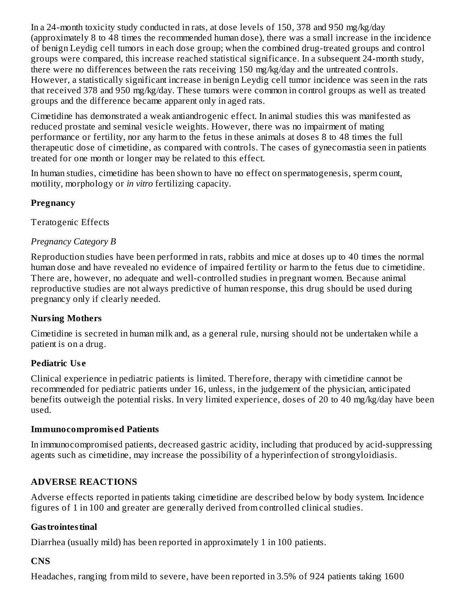In a 24-month toxicity study conducted in rats, at dose levels of 150, 378 and 950 mg/kg/day (approximately 8 to 48 times the recommended human dose), there was a small increase in the incidence of benign Leydig cell tumors in each dose group; when the combined drug-treated groups and control groups were compared, this increase reached statistical significance. In a subsequent 24-month study, there were no differences between the rats receiving 150 mg/kg/day and the untreated controls. However, a statistically significant increase in benign Leydig cell tumor incidence was seen in the rats that received 378 and 950 mg/kg/day. These tumors were common in control groups as well as treated groups and the difference became apparent only in aged rats.

Cimetidine has demonstrated a weak antiandrogenic effect. In animal studies this was manifested as reduced prostate and seminal vesicle weights. However, there was no impairment of mating performance or fertility, nor any harm to the fetus in these animals at doses 8 to 48 times the full therapeutic dose of cimetidine, as compared with controls. The cases of gynecomastia seen in patients treated for one month or longer may be related to this effect.

In human studies, cimetidine has been shown to have no effect on spermatogenesis, sperm count, motility, morphology or *in vitro* fertilizing capacity.

### **Pregnancy**

Teratogenic Effects

### *Pregnancy Category B*

Reproduction studies have been performed in rats, rabbits and mice at doses up to 40 times the normal human dose and have revealed no evidence of impaired fertility or harm to the fetus due to cimetidine. There are, however, no adequate and well-controlled studies in pregnant women. Because animal reproductive studies are not always predictive of human response, this drug should be used during pregnancy only if clearly needed.

### **Nursing Mothers**

Cimetidine is secreted in human milk and, as a general rule, nursing should not be undertaken while a patient is on a drug.

### **Pediatric Us e**

Clinical experience in pediatric patients is limited. Therefore, therapy with cimetidine cannot be recommended for pediatric patients under 16, unless, in the judgement of the physician, anticipated benefits outweigh the potential risks. In very limited experience, doses of 20 to 40 mg/kg/day have been used.

### **Immunocompromis ed Patients**

In immunocompromised patients, decreased gastric acidity, including that produced by acid-suppressing agents such as cimetidine, may increase the possibility of a hyperinfection of strongyloidiasis.

# **ADVERSE REACTIONS**

Adverse effects reported in patients taking cimetidine are described below by body system. Incidence figures of 1 in 100 and greater are generally derived from controlled clinical studies.

### **Gastrointestinal**

Diarrhea (usually mild) has been reported in approximately 1 in 100 patients.

# **CNS**

Headaches, ranging from mild to severe, have been reported in 3.5% of 924 patients taking 1600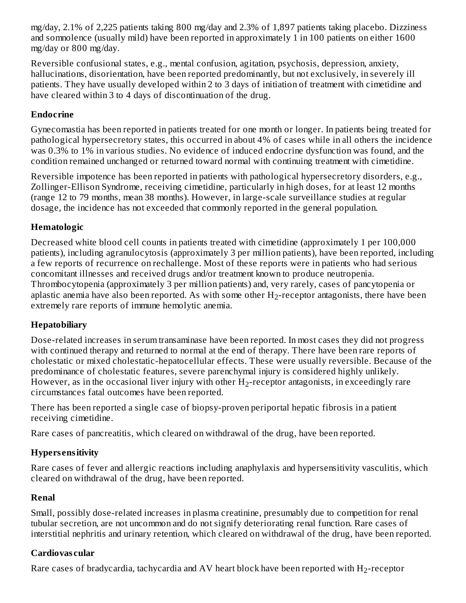mg/day, 2.1% of 2,225 patients taking 800 mg/day and 2.3% of 1,897 patients taking placebo. Dizziness and somnolence (usually mild) have been reported in approximately 1 in 100 patients on either 1600 mg/day or 800 mg/day.

Reversible confusional states, e.g., mental confusion, agitation, psychosis, depression, anxiety, hallucinations, disorientation, have been reported predominantly, but not exclusively, in severely ill patients. They have usually developed within 2 to 3 days of initiation of treatment with cimetidine and have cleared within 3 to 4 days of discontinuation of the drug.

# **Endocrine**

Gynecomastia has been reported in patients treated for one month or longer. In patients being treated for pathological hypersecretory states, this occurred in about 4% of cases while in all others the incidence was 0.3% to 1% in various studies. No evidence of induced endocrine dysfunction was found, and the condition remained unchanged or returned toward normal with continuing treatment with cimetidine.

Reversible impotence has been reported in patients with pathological hypersecretory disorders, e.g., Zollinger-Ellison Syndrome, receiving cimetidine, particularly in high doses, for at least 12 months (range 12 to 79 months, mean 38 months). However, in large-scale surveillance studies at regular dosage, the incidence has not exceeded that commonly reported in the general population.

# **Hematologic**

Decreased white blood cell counts in patients treated with cimetidine (approximately 1 per 100,000 patients), including agranulocytosis (approximately 3 per million patients), have been reported, including a few reports of recurrence on rechallenge. Most of these reports were in patients who had serious concomitant illnesses and received drugs and/or treatment known to produce neutropenia. Thrombocytopenia (approximately 3 per million patients) and, very rarely, cases of pancytopenia or aplastic anemia have also been reported. As with some other  $\rm H_2$ -receptor antagonists, there have been extremely rare reports of immune hemolytic anemia.

# **Hepatobiliary**

Dose-related increases in serum transaminase have been reported. In most cases they did not progress with continued therapy and returned to normal at the end of therapy. There have been rare reports of cholestatic or mixed cholestatic-hepatocellular effects. These were usually reversible. Because of the predominance of cholestatic features, severe parenchymal injury is considered highly unlikely. However, as in the occasional liver injury with other  $\rm H_2$ -receptor antagonists, in exceedingly rare circumstances fatal outcomes have been reported.

There has been reported a single case of biopsy-proven periportal hepatic fibrosis in a patient receiving cimetidine.

Rare cases of pancreatitis, which cleared on withdrawal of the drug, have been reported.

# **Hypers ensitivity**

Rare cases of fever and allergic reactions including anaphylaxis and hypersensitivity vasculitis, which cleared on withdrawal of the drug, have been reported.

# **Renal**

Small, possibly dose-related increases in plasma creatinine, presumably due to competition for renal tubular secretion, are not uncommon and do not signify deteriorating renal function. Rare cases of interstitial nephritis and urinary retention, which cleared on withdrawal of the drug, have been reported.

# **Cardiovas cular**

Rare cases of bradycardia, tachycardia and AV heart block have been reported with  $\rm H_2$ -receptor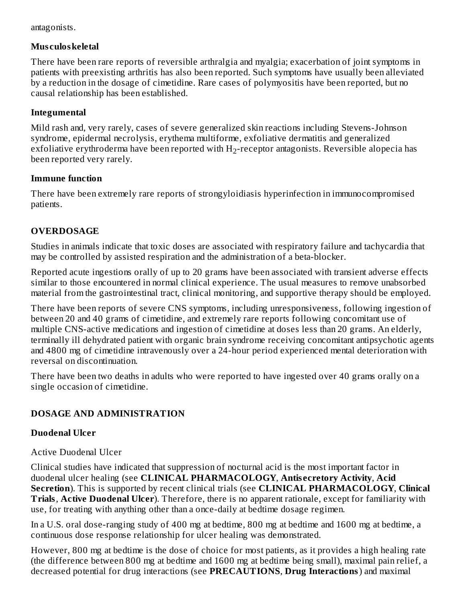antagonists.

### **Mus culoskeletal**

There have been rare reports of reversible arthralgia and myalgia; exacerbation of joint symptoms in patients with preexisting arthritis has also been reported. Such symptoms have usually been alleviated by a reduction in the dosage of cimetidine. Rare cases of polymyositis have been reported, but no causal relationship has been established.

2

#### **Integumental**

Mild rash and, very rarely, cases of severe generalized skin reactions including Stevens-Johnson syndrome, epidermal necrolysis, erythema multiforme, exfoliative dermatitis and generalized exfoliative erythroderma have been reported with  $\rm H_2$ -receptor antagonists. Reversible alopecia has been reported very rarely.

#### **Immune function**

There have been extremely rare reports of strongyloidiasis hyperinfection in immunocompromised patients.

### **OVERDOSAGE**

Studies in animals indicate that toxic doses are associated with respiratory failure and tachycardia that may be controlled by assisted respiration and the administration of a beta-blocker.

Reported acute ingestions orally of up to 20 grams have been associated with transient adverse effects similar to those encountered in normal clinical experience. The usual measures to remove unabsorbed material from the gastrointestinal tract, clinical monitoring, and supportive therapy should be employed.

There have been reports of severe CNS symptoms, including unresponsiveness, following ingestion of between 20 and 40 grams of cimetidine, and extremely rare reports following concomitant use of multiple CNS-active medications and ingestion of cimetidine at doses less than 20 grams. An elderly, terminally ill dehydrated patient with organic brain syndrome receiving concomitant antipsychotic agents and 4800 mg of cimetidine intravenously over a 24-hour period experienced mental deterioration with reversal on discontinuation.

There have been two deaths in adults who were reported to have ingested over 40 grams orally on a single occasion of cimetidine.

### **DOSAGE AND ADMINISTRATION**

### **Duodenal Ulcer**

Active Duodenal Ulcer

Clinical studies have indicated that suppression of nocturnal acid is the most important factor in duodenal ulcer healing (see **CLINICAL PHARMACOLOGY**, **Antis ecretory Activity**, **Acid Secretion**). This is supported by recent clinical trials (see **CLINICAL PHARMACOLOGY**, **Clinical Trials**, **Active Duodenal Ulcer**). Therefore, there is no apparent rationale, except for familiarity with use, for treating with anything other than a once-daily at bedtime dosage regimen.

In a U.S. oral dose-ranging study of 400 mg at bedtime, 800 mg at bedtime and 1600 mg at bedtime, a continuous dose response relationship for ulcer healing was demonstrated.

However, 800 mg at bedtime is the dose of choice for most patients, as it provides a high healing rate (the difference between 800 mg at bedtime and 1600 mg at bedtime being small), maximal pain relief, a decreased potential for drug interactions (see **PRECAUTIONS**, **Drug Interactions**) and maximal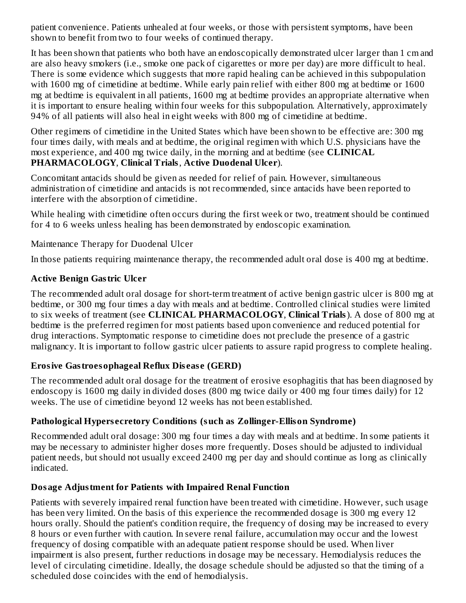patient convenience. Patients unhealed at four weeks, or those with persistent symptoms, have been shown to benefit from two to four weeks of continued therapy.

It has been shown that patients who both have an endoscopically demonstrated ulcer larger than 1 cm and are also heavy smokers (i.e., smoke one pack of cigarettes or more per day) are more difficult to heal. There is some evidence which suggests that more rapid healing can be achieved in this subpopulation with 1600 mg of cimetidine at bedtime. While early pain relief with either 800 mg at bedtime or 1600 mg at bedtime is equivalent in all patients, 1600 mg at bedtime provides an appropriate alternative when it is important to ensure healing within four weeks for this subpopulation. Alternatively, approximately 94% of all patients will also heal in eight weeks with 800 mg of cimetidine at bedtime.

Other regimens of cimetidine in the United States which have been shown to be effective are: 300 mg four times daily, with meals and at bedtime, the original regimen with which U.S. physicians have the most experience, and 400 mg twice daily, in the morning and at bedtime (see **CLINICAL PHARMACOLOGY**, **Clinical Trials**, **Active Duodenal Ulcer**).

Concomitant antacids should be given as needed for relief of pain. However, simultaneous administration of cimetidine and antacids is not recommended, since antacids have been reported to interfere with the absorption of cimetidine.

While healing with cimetidine often occurs during the first week or two, treatment should be continued for 4 to 6 weeks unless healing has been demonstrated by endoscopic examination.

Maintenance Therapy for Duodenal Ulcer

In those patients requiring maintenance therapy, the recommended adult oral dose is 400 mg at bedtime.

### **Active Benign Gastric Ulcer**

The recommended adult oral dosage for short-term treatment of active benign gastric ulcer is 800 mg at bedtime, or 300 mg four times a day with meals and at bedtime. Controlled clinical studies were limited to six weeks of treatment (see **CLINICAL PHARMACOLOGY**, **Clinical Trials**). A dose of 800 mg at bedtime is the preferred regimen for most patients based upon convenience and reduced potential for drug interactions. Symptomatic response to cimetidine does not preclude the presence of a gastric malignancy. It is important to follow gastric ulcer patients to assure rapid progress to complete healing.

### **Erosive Gastroesophageal Reflux Dis eas e (GERD)**

The recommended adult oral dosage for the treatment of erosive esophagitis that has been diagnosed by endoscopy is 1600 mg daily in divided doses (800 mg twice daily or 400 mg four times daily) for 12 weeks. The use of cimetidine beyond 12 weeks has not been established.

# **Pathological Hypers ecretory Conditions (such as Zollinger-Ellison Syndrome)**

Recommended adult oral dosage: 300 mg four times a day with meals and at bedtime. In some patients it may be necessary to administer higher doses more frequently. Doses should be adjusted to individual patient needs, but should not usually exceed 2400 mg per day and should continue as long as clinically indicated.

### **Dosage Adjustment for Patients with Impaired Renal Function**

Patients with severely impaired renal function have been treated with cimetidine. However, such usage has been very limited. On the basis of this experience the recommended dosage is 300 mg every 12 hours orally. Should the patient's condition require, the frequency of dosing may be increased to every 8 hours or even further with caution. In severe renal failure, accumulation may occur and the lowest frequency of dosing compatible with an adequate patient response should be used. When liver impairment is also present, further reductions in dosage may be necessary. Hemodialysis reduces the level of circulating cimetidine. Ideally, the dosage schedule should be adjusted so that the timing of a scheduled dose coincides with the end of hemodialysis.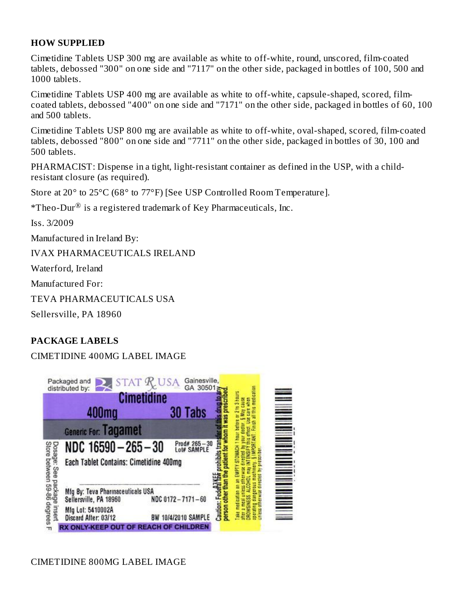#### **HOW SUPPLIED**

Cimetidine Tablets USP 300 mg are available as white to off-white, round, unscored, film-coated tablets, debossed "300" on one side and "7117" on the other side, packaged in bottles of 100, 500 and 1000 tablets.

Cimetidine Tablets USP 400 mg are available as white to off-white, capsule-shaped, scored, filmcoated tablets, debossed "400" on one side and "7171" on the other side, packaged in bottles of 60, 100 and 500 tablets.

Cimetidine Tablets USP 800 mg are available as white to off-white, oval-shaped, scored, film-coated tablets, debossed "800" on one side and "7711" on the other side, packaged in bottles of 30, 100 and 500 tablets.

PHARMACIST: Dispense in a tight, light-resistant container as defined in the USP, with a childresistant closure (as required).

Store at 20° to 25°C (68° to 77°F) [See USP Controlled Room Temperature].

 ${}^{\ast} \mathrm{Theo\text{-}Dur}^{\circledR}$  is a registered trademark of Key Pharmaceuticals, Inc.

Iss. 3/2009

Manufactured in Ireland By:

IVAX PHARMACEUTICALS IRELAND

Waterford, Ireland

Manufactured For:

TEVA PHARMACEUTICALS USA

Sellersville, PA 18960

### **PACKAGE LABELS**

#### CIMETIDINE 400MG LABEL IMAGE

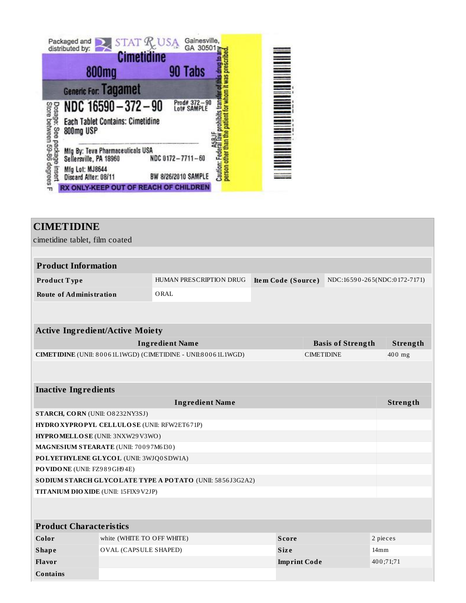|                                                                                                                     | <b>Cimetidine</b>           |
|---------------------------------------------------------------------------------------------------------------------|-----------------------------|
| <b>800mg</b>                                                                                                        | 90 Tabs                     |
| Generic For: Tagamet                                                                                                |                             |
| NDC 16590-372-90                                                                                                    | Prod# 372-90<br>Lot# SAMPLE |
| Dosage: See package insert<br>Store between 59-86 degrees F<br><b>Each Tablet Contains: Cimetidine</b><br>800mg USP |                             |
| Mig By: Teva Pharmaceuticals USA<br>Sellersville, PA 18960                                                          | NDC 0172-7711-60            |
| Mfg Lot: MJ8644                                                                                                     | BW 8/26/2010 SAMPLE         |

| <b>CIMETIDINE</b>                                                               |                                                                               |                                                              |                     |                   |                          |                  |
|---------------------------------------------------------------------------------|-------------------------------------------------------------------------------|--------------------------------------------------------------|---------------------|-------------------|--------------------------|------------------|
| cimetidine tablet, film coated                                                  |                                                                               |                                                              |                     |                   |                          |                  |
|                                                                                 |                                                                               |                                                              |                     |                   |                          |                  |
| <b>Product Information</b>                                                      |                                                                               |                                                              |                     |                   |                          |                  |
| Product Type                                                                    | HUMAN PRESCRIPTION DRUG<br>Item Code (Source)<br>NDC:16590-265(NDC:0172-7171) |                                                              |                     |                   |                          |                  |
| <b>Route of Administration</b>                                                  |                                                                               | ORAL                                                         |                     |                   |                          |                  |
|                                                                                 |                                                                               |                                                              |                     |                   |                          |                  |
|                                                                                 |                                                                               |                                                              |                     |                   |                          |                  |
| <b>Active Ingredient/Active Moiety</b>                                          |                                                                               |                                                              |                     |                   |                          |                  |
|                                                                                 |                                                                               | <b>Ingredient Name</b>                                       |                     |                   | <b>Basis of Strength</b> | Strength         |
|                                                                                 |                                                                               | CIMETIDINE (UNII: 80061L1WGD) (CIMETIDINE - UNII:80061L1WGD) |                     | <b>CIMETIDINE</b> |                          | 400 mg           |
|                                                                                 |                                                                               |                                                              |                     |                   |                          |                  |
|                                                                                 |                                                                               |                                                              |                     |                   |                          |                  |
| <b>Inactive Ingredients</b>                                                     |                                                                               |                                                              |                     |                   |                          |                  |
|                                                                                 |                                                                               | <b>Ingredient Name</b>                                       |                     |                   |                          | Strength         |
| STARCH, CORN (UNII: O8232NY3SJ)                                                 |                                                                               |                                                              |                     |                   |                          |                  |
| HYDRO XYPROPYL CELLULOSE (UNII: RFW2ET671P)                                     |                                                                               |                                                              |                     |                   |                          |                  |
| HYPROMELLOSE (UNII: 3NXW29V3WO)                                                 |                                                                               |                                                              |                     |                   |                          |                  |
| MAGNESIUM STEARATE (UNII: 70097M6I30)<br>POLYETHYLENE GLYCOL (UNII: 3WJQ0SDW1A) |                                                                               |                                                              |                     |                   |                          |                  |
| PO VIDO NE (UNII: FZ989GH94E)                                                   |                                                                               |                                                              |                     |                   |                          |                  |
|                                                                                 |                                                                               | SODIUM STARCH GLYCOLATE TYPE A POTATO (UNII: 5856J3G2A2)     |                     |                   |                          |                  |
| TITANIUM DIO XIDE (UNII: 15FIX9 V2JP)                                           |                                                                               |                                                              |                     |                   |                          |                  |
|                                                                                 |                                                                               |                                                              |                     |                   |                          |                  |
|                                                                                 |                                                                               |                                                              |                     |                   |                          |                  |
| <b>Product Characteristics</b>                                                  |                                                                               |                                                              |                     |                   |                          |                  |
| Color                                                                           | white (WHITE TO OFF WHITE)                                                    |                                                              | <b>Score</b>        |                   |                          | 2 pieces         |
| <b>Shape</b>                                                                    | <b>OVAL (CAPSULE SHAPED)</b>                                                  |                                                              | <b>Size</b>         |                   |                          | 14 <sub>mm</sub> |
| Flavor                                                                          |                                                                               |                                                              | <b>Imprint Code</b> |                   |                          | 400;71;71        |
| <b>Contains</b>                                                                 |                                                                               |                                                              |                     |                   |                          |                  |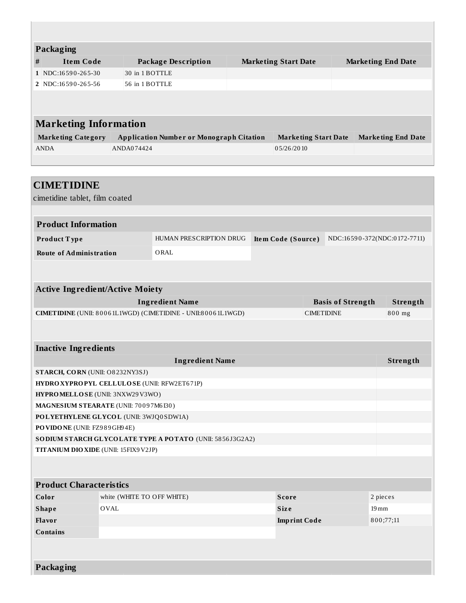| Packaging |                              |                                                 |  |                             |  |                           |  |
|-----------|------------------------------|-------------------------------------------------|--|-----------------------------|--|---------------------------|--|
| #         | <b>Item Code</b>             | <b>Package Description</b>                      |  | <b>Marketing Start Date</b> |  | <b>Marketing End Date</b> |  |
|           | $1$ NDC:16590-265-30         | 30 in 1 BOTTLE                                  |  |                             |  |                           |  |
|           | 2 NDC:16590-265-56           | 56 in 1 BOTTLE                                  |  |                             |  |                           |  |
|           |                              |                                                 |  |                             |  |                           |  |
|           |                              |                                                 |  |                             |  |                           |  |
|           | <b>Marketing Information</b> |                                                 |  |                             |  |                           |  |
|           | <b>Marketing Category</b>    | <b>Application Number or Monograph Citation</b> |  | <b>Marketing Start Date</b> |  | <b>Marketing End Date</b> |  |
|           | <b>ANDA</b>                  | ANDA074424                                      |  | 05/26/2010                  |  |                           |  |
|           |                              |                                                 |  |                             |  |                           |  |

| <b>CIMETIDINE</b><br>cimetidine tablet, film coated |                            |                                                              |                     |                   |                              |                    |
|-----------------------------------------------------|----------------------------|--------------------------------------------------------------|---------------------|-------------------|------------------------------|--------------------|
|                                                     |                            |                                                              |                     |                   |                              |                    |
| <b>Product Information</b>                          |                            |                                                              |                     |                   |                              |                    |
| Product Type                                        |                            | HUMAN PRESCRIPTION DRUG                                      | Item Code (Source)  |                   | NDC:16590-372(NDC:0172-7711) |                    |
| <b>Route of Administration</b>                      |                            | ORAL                                                         |                     |                   |                              |                    |
|                                                     |                            |                                                              |                     |                   |                              |                    |
|                                                     |                            |                                                              |                     |                   |                              |                    |
| <b>Active Ingredient/Active Moiety</b>              |                            |                                                              |                     |                   |                              |                    |
|                                                     |                            | <b>Ingredient Name</b>                                       |                     |                   | <b>Basis of Strength</b>     | Strength           |
|                                                     |                            | CIMETIDINE (UNII: 80061L1WGD) (CIMETIDINE - UNII:80061L1WGD) |                     | <b>CIMETIDINE</b> |                              | 800 mg             |
|                                                     |                            |                                                              |                     |                   |                              |                    |
|                                                     |                            |                                                              |                     |                   |                              |                    |
| <b>Inactive Ingredients</b>                         |                            |                                                              |                     |                   |                              |                    |
| <b>Ingredient Name</b>                              |                            |                                                              |                     |                   | Strength                     |                    |
| STARCH, CORN (UNII: O8232NY3SJ)                     |                            |                                                              |                     |                   |                              |                    |
| HYDROXYPROPYL CELLULOSE (UNII: RFW2ET671P)          |                            |                                                              |                     |                   |                              |                    |
| HYPROMELLOSE (UNII: 3NXW29V3WO)                     |                            |                                                              |                     |                   |                              |                    |
| MAGNESIUM STEARATE (UNII: 70097M6I30)               |                            |                                                              |                     |                   |                              |                    |
| POLYETHYLENE GLYCOL (UNII: 3WJQ0SDW1A)              |                            |                                                              |                     |                   |                              |                    |
| PO VIDO NE (UNII: FZ989GH94E)                       |                            |                                                              |                     |                   |                              |                    |
|                                                     |                            | SODIUM STARCH GLYCOLATE TYPE A POTATO (UNII: 5856J3G2A2)     |                     |                   |                              |                    |
| TITANIUM DIO XIDE (UNII: 15FIX9 V2JP)               |                            |                                                              |                     |                   |                              |                    |
|                                                     |                            |                                                              |                     |                   |                              |                    |
|                                                     |                            |                                                              |                     |                   |                              |                    |
| <b>Product Characteristics</b>                      |                            |                                                              |                     |                   |                              |                    |
| Color                                               | white (WHITE TO OFF WHITE) |                                                              | <b>Score</b>        |                   |                              | 2 pieces           |
| <b>Shape</b>                                        | <b>OVAL</b>                |                                                              | <b>Size</b>         |                   |                              | $19 \,\mathrm{mm}$ |
| <b>Flavor</b>                                       |                            |                                                              | <b>Imprint Code</b> |                   |                              | 800;77;11          |
| <b>Contains</b>                                     |                            |                                                              |                     |                   |                              |                    |
|                                                     |                            |                                                              |                     |                   |                              |                    |
|                                                     |                            |                                                              |                     |                   |                              |                    |
| Packaging                                           |                            |                                                              |                     |                   |                              |                    |